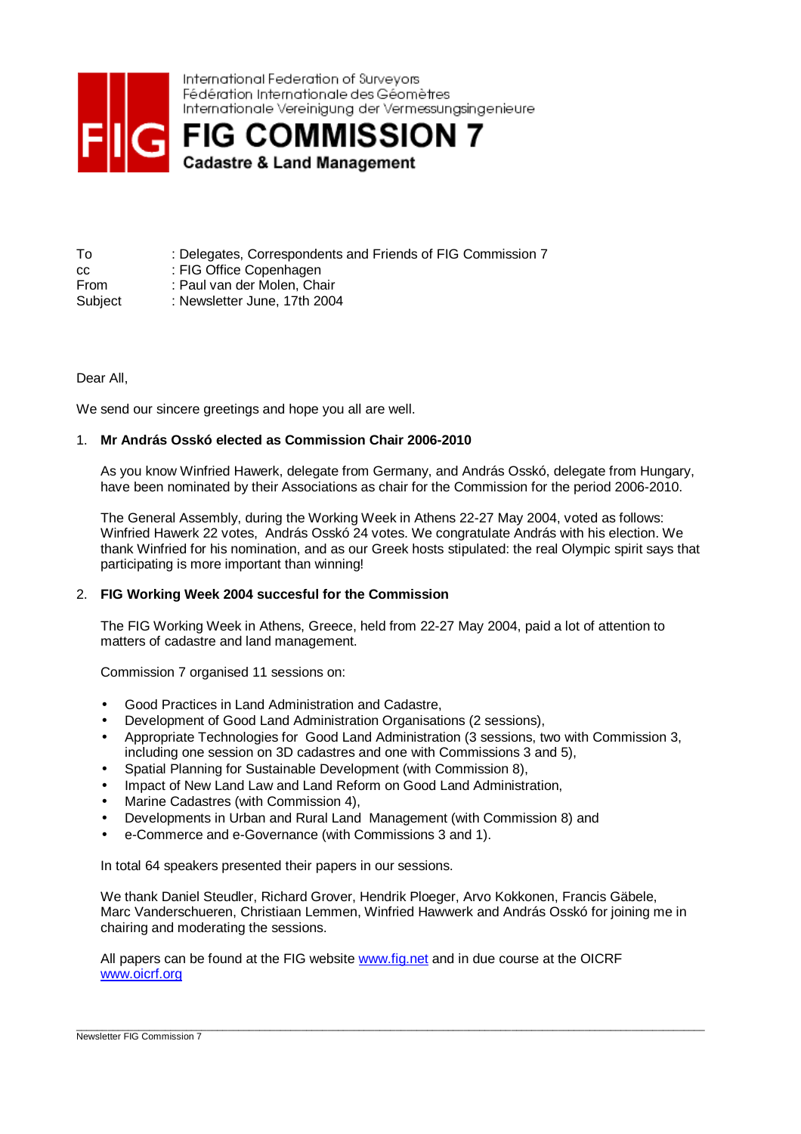

| To          | : Delegates, Correspondents and Friends of FIG Commission 7 |
|-------------|-------------------------------------------------------------|
| CC.         | : FIG Office Copenhagen                                     |
| <b>From</b> | : Paul van der Molen. Chair                                 |
| Subject     | : Newsletter June, 17th 2004                                |

Dear All,

We send our sincere greetings and hope you all are well.

# 1. **Mr András Osskó elected as Commission Chair 2006-2010**

As you know Winfried Hawerk, delegate from Germany, and András Osskó, delegate from Hungary, have been nominated by their Associations as chair for the Commission for the period 2006-2010.

The General Assembly, during the Working Week in Athens 22-27 May 2004, voted as follows: Winfried Hawerk 22 votes, András Osskó 24 votes. We congratulate András with his election. We thank Winfried for his nomination, and as our Greek hosts stipulated: the real Olympic spirit says that participating is more important than winning!

## 2. **FIG Working Week 2004 succesful for the Commission**

The FIG Working Week in Athens, Greece, held from 22-27 May 2004, paid a lot of attention to matters of cadastre and land management.

Commission 7 organised 11 sessions on:

- Good Practices in Land Administration and Cadastre,
- Development of Good Land Administration Organisations (2 sessions),
- Appropriate Technologies for Good Land Administration (3 sessions, two with Commission 3, including one session on 3D cadastres and one with Commissions 3 and 5),
- Spatial Planning for Sustainable Development (with Commission 8),
- Impact of New Land Law and Land Reform on Good Land Administration,
- Marine Cadastres (with Commission 4),
- Developments in Urban and Rural Land Management (with Commission 8) and
- e-Commerce and e-Governance (with Commissions 3 and 1).

In total 64 speakers presented their papers in our sessions.

We thank Daniel Steudler, Richard Grover, Hendrik Ploeger, Arvo Kokkonen, Francis Gäbele, Marc Vanderschueren, Christiaan Lemmen, Winfried Hawwerk and András Osskó for joining me in chairing and moderating the sessions.

\_\_\_\_\_\_\_\_\_\_\_\_\_\_\_\_\_\_\_\_\_\_\_\_\_\_\_\_\_\_\_\_\_\_\_\_\_\_\_\_\_\_\_\_\_\_\_\_\_\_\_\_\_\_\_\_\_\_\_\_\_\_\_\_\_\_\_\_\_\_\_\_\_\_\_\_\_\_\_\_\_\_\_\_\_\_\_\_\_\_\_\_\_\_\_\_\_\_\_\_\_\_\_\_\_\_\_\_\_\_\_\_\_\_\_\_\_\_\_\_

All papers can be found at the FIG website www.fig.net and in due course at the OICRF www.oicrf.org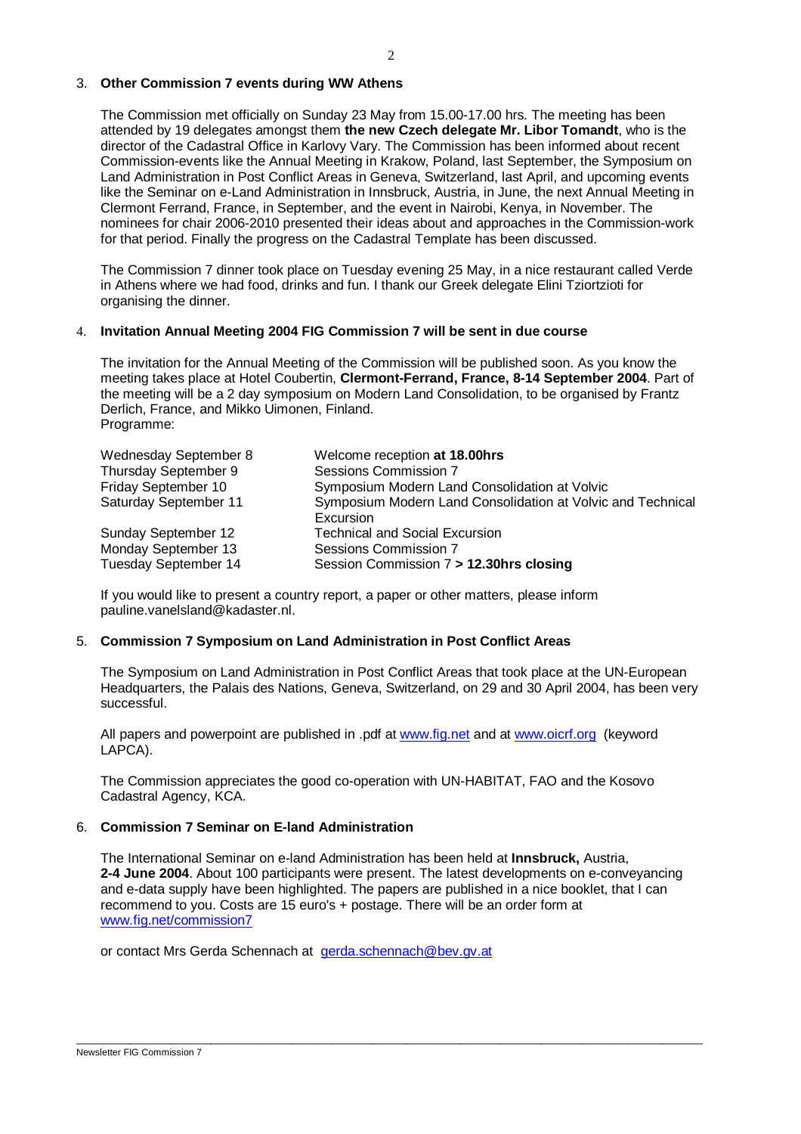#### 3. **Other Commission 7 events during WW Athens**

The Commission met officially on Sunday 23 May from 15.00-17.00 hrs. The meeting has been attended by 19 delegates amongst them **the new Czech delegate Mr. Libor Tomandt**, who is the director of the Cadastral Office in Karlovy Vary. The Commission has been informed about recent Commission-events like the Annual Meeting in Krakow, Poland, last September, the Symposium on Land Administration in Post Conflict Areas in Geneva, Switzerland, last April, and upcoming events like the Seminar on e-Land Administration in Innsbruck, Austria, in June, the next Annual Meeting in Clermont Ferrand, France, in September, and the event in Nairobi, Kenya, in November. The nominees for chair 2006-2010 presented their ideas about and approaches in the Commission-work for that period. Finally the progress on the Cadastral Template has been discussed.

The Commission 7 dinner took place on Tuesday evening 25 May, in a nice restaurant called Verde in Athens where we had food, drinks and fun. I thank our Greek delegate Elini Tziortzioti for organising the dinner.

## 4. **Invitation Annual Meeting 2004 FIG Commission 7 will be sent in due course**

The invitation for the Annual Meeting of the Commission will be published soon. As you know the meeting takes place at Hotel Coubertin, **Clermont-Ferrand, France, 8-14 September 2004**. Part of the meeting will be a 2 day symposium on Modern Land Consolidation, to be organised by Frantz Derlich, France, and Mikko Uimonen, Finland. Programme:

| Wednesday September 8 | Welcome reception at 18.00hrs                                            |
|-----------------------|--------------------------------------------------------------------------|
| Thursday September 9  | Sessions Commission 7                                                    |
| Friday September 10   | Symposium Modern Land Consolidation at Volvic                            |
| Saturday September 11 | Symposium Modern Land Consolidation at Volvic and Technical<br>Excursion |
| Sunday September 12   | <b>Technical and Social Excursion</b>                                    |
| Monday September 13   | Sessions Commission 7                                                    |
| Tuesday September 14  | Session Commission 7 > 12.30hrs closing                                  |

If you would like to present a country report, a paper or other matters, please inform pauline.vanelsland@kadaster.nl.

## 5. **Commission 7 Symposium on Land Administration in Post Conflict Areas**

The Symposium on Land Administration in Post Conflict Areas that took place at the UN-European Headquarters, the Palais des Nations, Geneva, Switzerland, on 29 and 30 April 2004, has been very successful.

All papers and powerpoint are published in .pdf at www.fig.net and at www.oicrf.org (keyword LAPCA).

The Commission appreciates the good co-operation with UN-HABITAT, FAO and the Kosovo Cadastral Agency, KCA.

#### 6. **Commission 7 Seminar on E-land Administration**

The International Seminar on e-land Administration has been held at **Innsbruck,** Austria, **2-4 June 2004**. About 100 participants were present. The latest developments on e-conveyancing and e-data supply have been highlighted. The papers are published in a nice booklet, that I can recommend to you. Costs are 15 euro's + postage. There will be an order form at www.fig.net/commission7

\_\_\_\_\_\_\_\_\_\_\_\_\_\_\_\_\_\_\_\_\_\_\_\_\_\_\_\_\_\_\_\_\_\_\_\_\_\_\_\_\_\_\_\_\_\_\_\_\_\_\_\_\_\_\_\_\_\_\_\_\_\_\_\_\_\_\_\_\_\_\_\_\_\_\_\_\_\_\_\_\_\_\_\_\_\_\_\_\_\_\_\_\_

or contact Mrs Gerda Schennach at gerda.schennach@bev.gv.at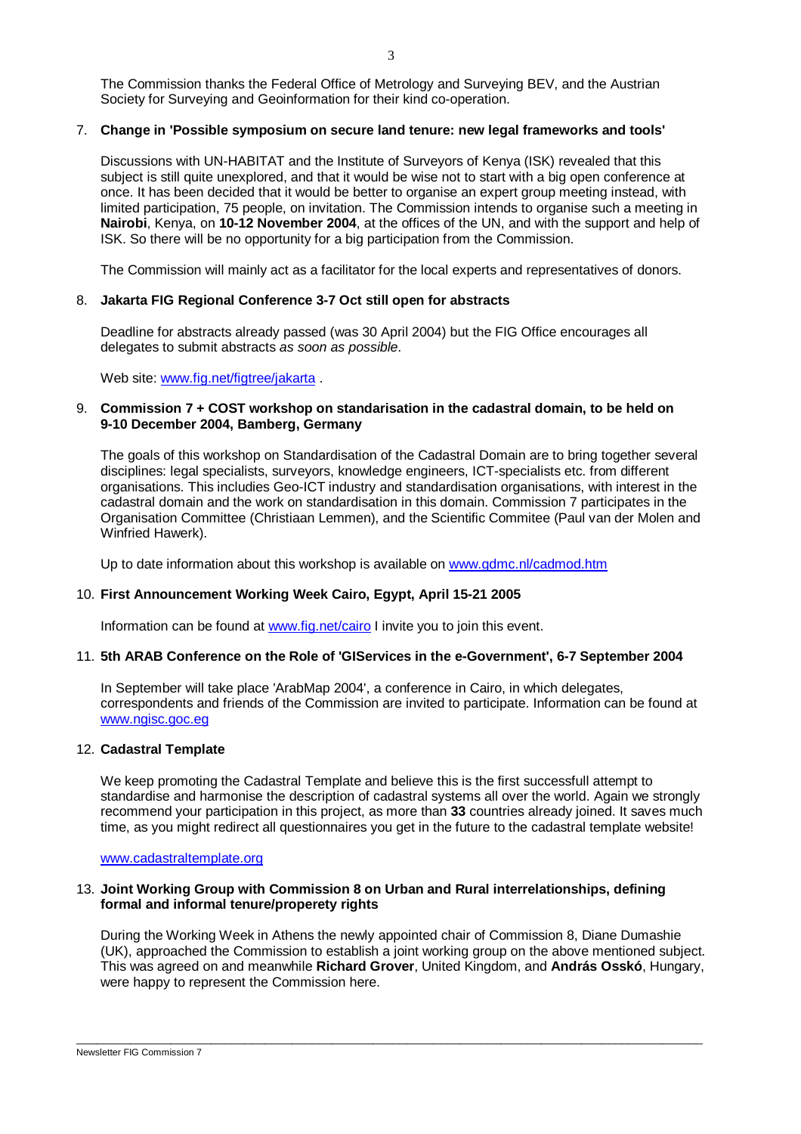The Commission thanks the Federal Office of Metrology and Surveying BEV, and the Austrian Society for Surveying and Geoinformation for their kind co-operation.

# 7. **Change in 'Possible symposium on secure land tenure: new legal frameworks and tools'**

Discussions with UN-HABITAT and the Institute of Surveyors of Kenya (ISK) revealed that this subject is still quite unexplored, and that it would be wise not to start with a big open conference at once. It has been decided that it would be better to organise an expert group meeting instead, with limited participation, 75 people, on invitation. The Commission intends to organise such a meeting in **Nairobi**, Kenya, on **10-12 November 2004**, at the offices of the UN, and with the support and help of ISK. So there will be no opportunity for a big participation from the Commission.

The Commission will mainly act as a facilitator for the local experts and representatives of donors.

# 8. **Jakarta FIG Regional Conference 3-7 Oct still open for abstracts**

Deadline for abstracts already passed (was 30 April 2004) but the FIG Office encourages all delegates to submit abstracts as soon as possible.

Web site: www.fig.net/figtree/jakarta

# 9. **Commission 7 + COST workshop on standarisation in the cadastral domain, to be held on 9-10 December 2004, Bamberg, Germany**

The goals of this workshop on Standardisation of the Cadastral Domain are to bring together several disciplines: legal specialists, surveyors, knowledge engineers, ICT-specialists etc. from different organisations. This includies Geo-ICT industry and standardisation organisations, with interest in the cadastral domain and the work on standardisation in this domain. Commission 7 participates in the Organisation Committee (Christiaan Lemmen), and the Scientific Commitee (Paul van der Molen and Winfried Hawerk).

Up to date information about this workshop is available on www.gdmc.nl/cadmod.htm

## 10. **First Announcement Working Week Cairo, Egypt, April 15-21 2005**

Information can be found at www.fig.net/cairo I invite you to join this event.

## 11. **5th ARAB Conference on the Role of 'GIServices in the e-Government', 6-7 September 2004**

In September will take place 'ArabMap 2004', a conference in Cairo, in which delegates, correspondents and friends of the Commission are invited to participate. Information can be found at www.ngisc.goc.eg

## 12. **Cadastral Template**

We keep promoting the Cadastral Template and believe this is the first successfull attempt to standardise and harmonise the description of cadastral systems all over the world. Again we strongly recommend your participation in this project, as more than **33** countries already joined. It saves much time, as you might redirect all questionnaires you get in the future to the cadastral template website!

www.cadastraltemplate.org

# 13. **Joint Working Group with Commission 8 on Urban and Rural interrelationships, defining formal and informal tenure/properety rights**

During the Working Week in Athens the newly appointed chair of Commission 8, Diane Dumashie (UK), approached the Commission to establish a joint working group on the above mentioned subject. This was agreed on and meanwhile **Richard Grover**, United Kingdom, and **András Osskó**, Hungary, were happy to represent the Commission here.